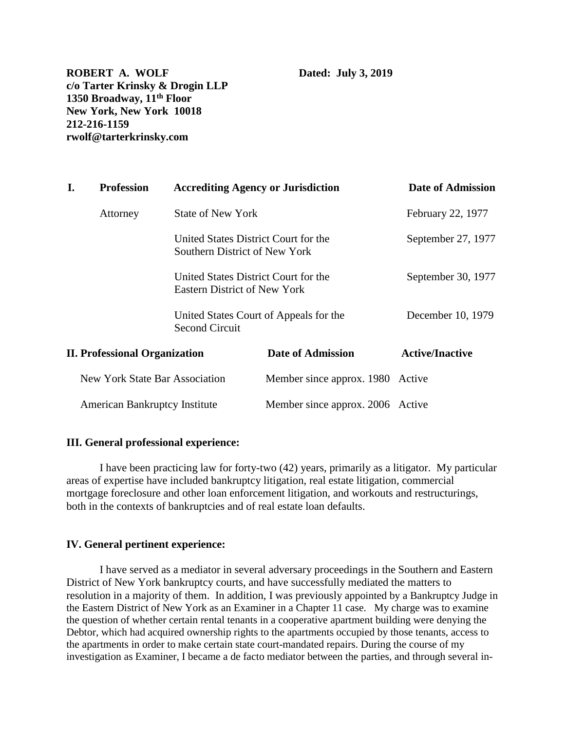**ROBERT A. WOLF** Dated: July 3, 2019 **c/o Tarter Krinsky & Drogin LLP 1350 Broadway, 11th Floor New York, New York 10018 212-216-1159 rwolf@tarterkrinsky.com**

| I.                                    | <b>Profession</b><br><b>Accrediting Agency or Jurisdiction</b> |                                                                             |                                        | Date of Admission  |
|---------------------------------------|----------------------------------------------------------------|-----------------------------------------------------------------------------|----------------------------------------|--------------------|
|                                       | Attorney                                                       | State of New York                                                           |                                        | February 22, 1977  |
|                                       |                                                                | United States District Court for the<br>Southern District of New York       |                                        | September 27, 1977 |
|                                       |                                                                | United States District Court for the<br><b>Eastern District of New York</b> |                                        | September 30, 1977 |
|                                       |                                                                | <b>Second Circuit</b>                                                       | United States Court of Appeals for the | December 10, 1979  |
| <b>II. Professional Organization</b>  |                                                                | <b>Date of Admission</b>                                                    | <b>Active/Inactive</b>                 |                    |
| <b>New York State Bar Association</b> |                                                                | Member since approx. 1980                                                   | Active                                 |                    |
|                                       | <b>American Bankruptcy Institute</b>                           |                                                                             | Member since approx. 2006 Active       |                    |

# **III. General professional experience:**

I have been practicing law for forty-two (42) years, primarily as a litigator. My particular areas of expertise have included bankruptcy litigation, real estate litigation, commercial mortgage foreclosure and other loan enforcement litigation, and workouts and restructurings, both in the contexts of bankruptcies and of real estate loan defaults.

## **IV. General pertinent experience:**

I have served as a mediator in several adversary proceedings in the Southern and Eastern District of New York bankruptcy courts, and have successfully mediated the matters to resolution in a majority of them. In addition, I was previously appointed by a Bankruptcy Judge in the Eastern District of New York as an Examiner in a Chapter 11 case. My charge was to examine the question of whether certain rental tenants in a cooperative apartment building were denying the Debtor, which had acquired ownership rights to the apartments occupied by those tenants, access to the apartments in order to make certain state court-mandated repairs. During the course of my investigation as Examiner, I became a de facto mediator between the parties, and through several in